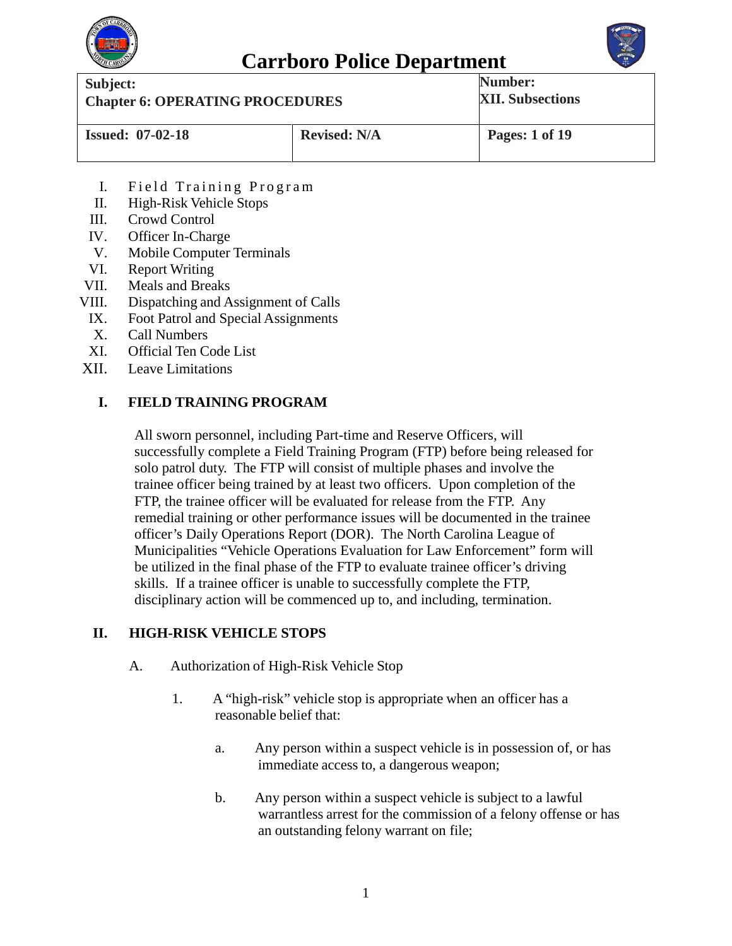



**Carrboro Police Department**<br>
Subject: **Num Chapter 6: OPERATING PROCEDURES Number: XII. Subsections Issued: 07-02-18 Revised: N/A Pages: 1 of 19**

- I. Field Training Program
- II. High-Risk Vehicle Stops
- III. Crowd Control
- IV. Officer In-Charge
- V. Mobile Computer Terminals
- VI. Report Writing
- VII. Meals and Breaks
- VIII. Dispatching and Assignment of Calls
- IX. Foot Patrol and Special Assignments
- X. Call Numbers
- XI. Official Ten Code List
- XII. Leave Limitations

### **I. FIELD TRAINING PROGRAM**

All sworn personnel, including Part-time and Reserve Officers, will successfully complete a Field Training Program (FTP) before being released for solo patrol duty. The FTP will consist of multiple phases and involve the trainee officer being trained by at least two officers. Upon completion of the FTP, the trainee officer will be evaluated for release from the FTP. Any remedial training or other performance issues will be documented in the trainee officer's Daily Operations Report (DOR). The North Carolina League of Municipalities "Vehicle Operations Evaluation for Law Enforcement" form will be utilized in the final phase of the FTP to evaluate trainee officer's driving skills. If a trainee officer is unable to successfully complete the FTP, disciplinary action will be commenced up to, and including, termination.

### **II. HIGH-RISK VEHICLE STOPS**

- A. Authorization of High-Risk Vehicle Stop
	- 1. A "high-risk" vehicle stop is appropriate when an officer has a reasonable belief that:
		- a. Any person within a suspect vehicle is in possession of, or has immediate access to, a dangerous weapon;
		- b. Any person within a suspect vehicle is subject to a lawful warrantless arrest for the commission of a felony offense or has an outstanding felony warrant on file;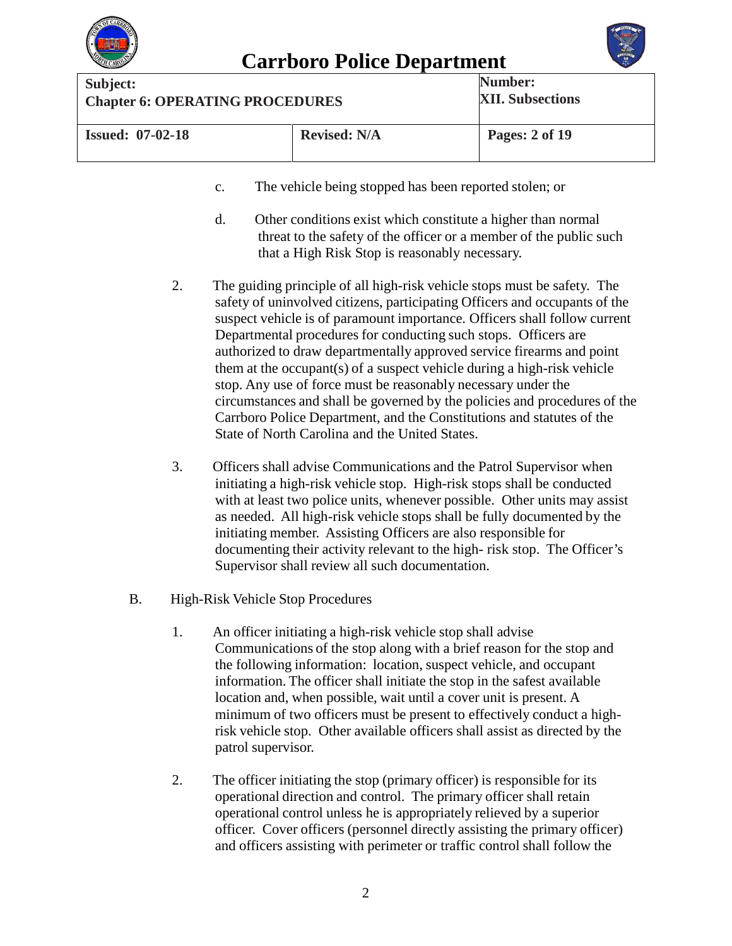



| Subject:                               |                     | Number:                 |
|----------------------------------------|---------------------|-------------------------|
| <b>Chapter 6: OPERATING PROCEDURES</b> |                     | <b>XII. Subsections</b> |
| <b>Issued: 07-02-18</b>                | <b>Revised: N/A</b> | Pages: 2 of 19          |

- c. The vehicle being stopped has been reported stolen; or
- d. Other conditions exist which constitute a higher than normal threat to the safety of the officer or a member of the public such that a High Risk Stop is reasonably necessary.
- 2. The guiding principle of all high-risk vehicle stops must be safety. The safety of uninvolved citizens, participating Officers and occupants of the suspect vehicle is of paramount importance. Officers shall follow current Departmental procedures for conducting such stops. Officers are authorized to draw departmentally approved service firearms and point them at the occupant(s) of a suspect vehicle during a high-risk vehicle stop. Any use of force must be reasonably necessary under the circumstances and shall be governed by the policies and procedures of the Carrboro Police Department, and the Constitutions and statutes of the State of North Carolina and the United States.
- 3. Officers shall advise Communications and the Patrol Supervisor when initiating a high-risk vehicle stop. High-risk stops shall be conducted with at least two police units, whenever possible. Other units may assist as needed. All high-risk vehicle stops shall be fully documented by the initiating member. Assisting Officers are also responsible for documenting their activity relevant to the high- risk stop. The Officer's Supervisor shall review all such documentation.
- B. High-Risk Vehicle Stop Procedures
	- 1. An officer initiating a high-risk vehicle stop shall advise Communications of the stop along with a brief reason for the stop and the following information: location, suspect vehicle, and occupant information. The officer shall initiate the stop in the safest available location and, when possible, wait until a cover unit is present. A minimum of two officers must be present to effectively conduct a highrisk vehicle stop. Other available officers shall assist as directed by the patrol supervisor.
	- 2. The officer initiating the stop (primary officer) is responsible for its operational direction and control. The primary officer shall retain operational control unless he is appropriately relieved by a superior officer. Cover officers (personnel directly assisting the primary officer) and officers assisting with perimeter or traffic control shall follow the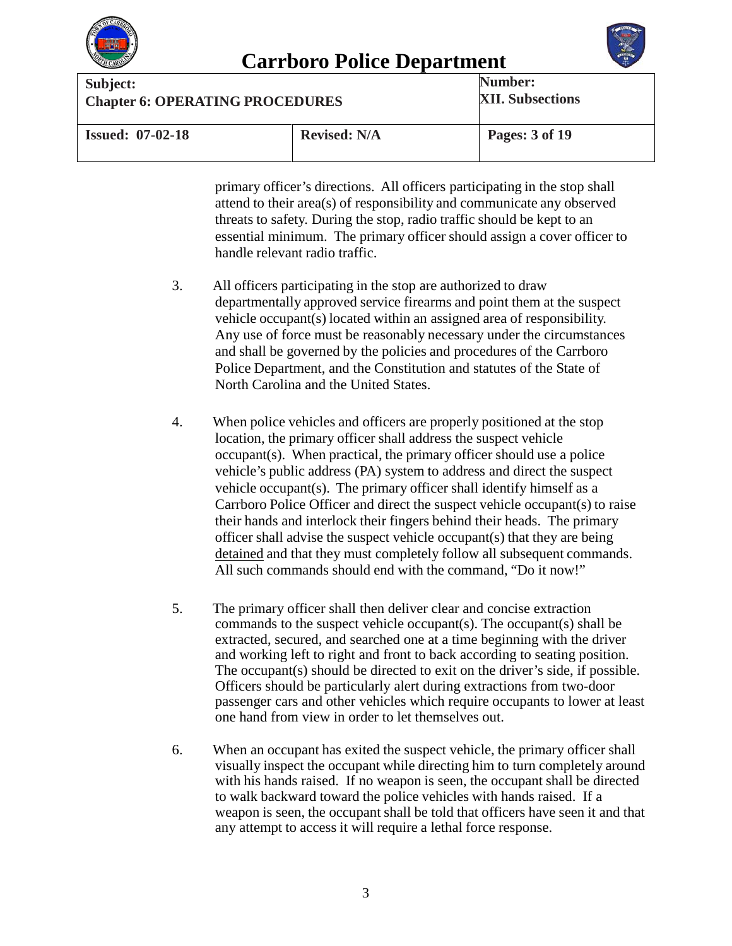



| Subject:                               |                     | Number:                 |
|----------------------------------------|---------------------|-------------------------|
| <b>Chapter 6: OPERATING PROCEDURES</b> |                     | <b>XII. Subsections</b> |
| <b>Issued: 07-02-18</b>                | <b>Revised: N/A</b> | Pages: 3 of 19          |

primary officer's directions. All officers participating in the stop shall attend to their area(s) of responsibility and communicate any observed threats to safety. During the stop, radio traffic should be kept to an essential minimum. The primary officer should assign a cover officer to handle relevant radio traffic.

- 3. All officers participating in the stop are authorized to draw departmentally approved service firearms and point them at the suspect vehicle occupant(s) located within an assigned area of responsibility. Any use of force must be reasonably necessary under the circumstances and shall be governed by the policies and procedures of the Carrboro Police Department, and the Constitution and statutes of the State of North Carolina and the United States.
- 4. When police vehicles and officers are properly positioned at the stop location, the primary officer shall address the suspect vehicle occupant(s). When practical, the primary officer should use a police vehicle's public address (PA) system to address and direct the suspect vehicle occupant(s). The primary officer shall identify himself as a Carrboro Police Officer and direct the suspect vehicle occupant(s) to raise their hands and interlock their fingers behind their heads. The primary officer shall advise the suspect vehicle occupant(s) that they are being detained and that they must completely follow all subsequent commands. All such commands should end with the command, "Do it now!"
- 5. The primary officer shall then deliver clear and concise extraction commands to the suspect vehicle occupant(s). The occupant(s) shall be extracted, secured, and searched one at a time beginning with the driver and working left to right and front to back according to seating position. The occupant(s) should be directed to exit on the driver's side, if possible. Officers should be particularly alert during extractions from two-door passenger cars and other vehicles which require occupants to lower at least one hand from view in order to let themselves out.
- 6. When an occupant has exited the suspect vehicle, the primary officer shall visually inspect the occupant while directing him to turn completely around with his hands raised. If no weapon is seen, the occupant shall be directed to walk backward toward the police vehicles with hands raised. If a weapon is seen, the occupant shall be told that officers have seen it and that any attempt to access it will require a lethal force response.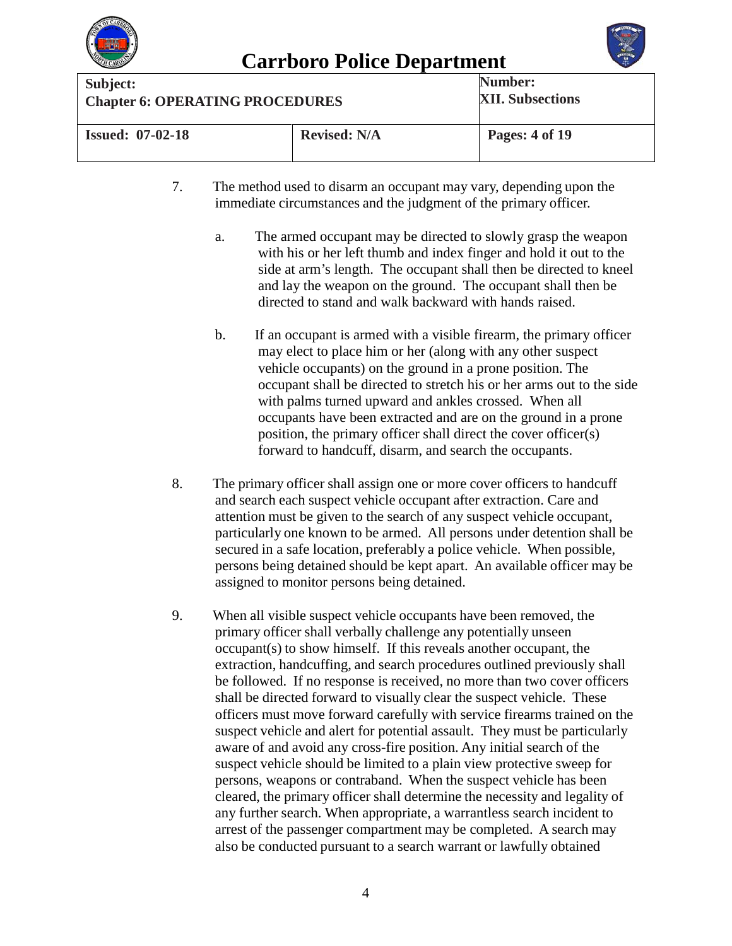



| Subject:                               |                     | Number:                 |
|----------------------------------------|---------------------|-------------------------|
| <b>Chapter 6: OPERATING PROCEDURES</b> |                     | <b>XII. Subsections</b> |
| <b>Issued: 07-02-18</b>                | <b>Revised: N/A</b> | Pages: 4 of 19          |

- 7. The method used to disarm an occupant may vary, depending upon the immediate circumstances and the judgment of the primary officer.
	- a. The armed occupant may be directed to slowly grasp the weapon with his or her left thumb and index finger and hold it out to the side at arm's length. The occupant shall then be directed to kneel and lay the weapon on the ground. The occupant shall then be directed to stand and walk backward with hands raised.
	- b. If an occupant is armed with a visible firearm, the primary officer may elect to place him or her (along with any other suspect vehicle occupants) on the ground in a prone position. The occupant shall be directed to stretch his or her arms out to the side with palms turned upward and ankles crossed. When all occupants have been extracted and are on the ground in a prone position, the primary officer shall direct the cover officer(s) forward to handcuff, disarm, and search the occupants.
- 8. The primary officer shall assign one or more cover officers to handcuff and search each suspect vehicle occupant after extraction. Care and attention must be given to the search of any suspect vehicle occupant, particularly one known to be armed. All persons under detention shall be secured in a safe location, preferably a police vehicle. When possible, persons being detained should be kept apart. An available officer may be assigned to monitor persons being detained.
- 9. When all visible suspect vehicle occupants have been removed, the primary officer shall verbally challenge any potentially unseen occupant(s) to show himself. If this reveals another occupant, the extraction, handcuffing, and search procedures outlined previously shall be followed. If no response is received, no more than two cover officers shall be directed forward to visually clear the suspect vehicle. These officers must move forward carefully with service firearms trained on the suspect vehicle and alert for potential assault. They must be particularly aware of and avoid any cross-fire position. Any initial search of the suspect vehicle should be limited to a plain view protective sweep for persons, weapons or contraband. When the suspect vehicle has been cleared, the primary officer shall determine the necessity and legality of any further search. When appropriate, a warrantless search incident to arrest of the passenger compartment may be completed. A search may also be conducted pursuant to a search warrant or lawfully obtained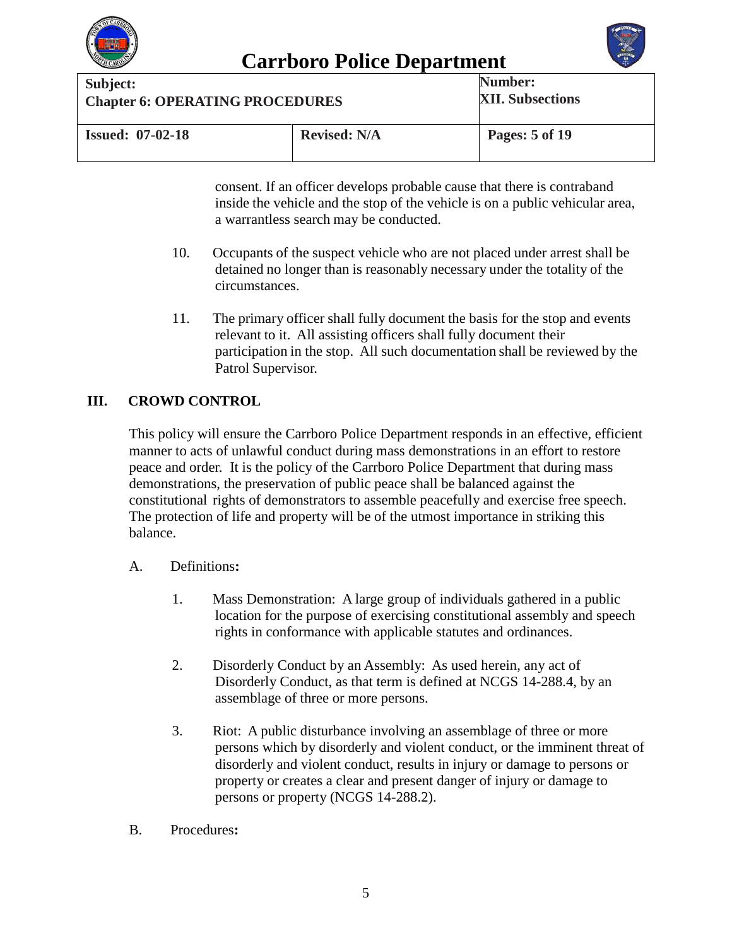



| Subject:                                       |  | Number:                 |
|------------------------------------------------|--|-------------------------|
| <b>Chapter 6: OPERATING PROCEDURES</b>         |  | <b>XII. Subsections</b> |
| <b>Issued: 07-02-18</b><br><b>Revised: N/A</b> |  | Pages: 5 of 19          |

consent. If an officer develops probable cause that there is contraband inside the vehicle and the stop of the vehicle is on a public vehicular area, a warrantless search may be conducted.

- 10. Occupants of the suspect vehicle who are not placed under arrest shall be detained no longer than is reasonably necessary under the totality of the circumstances.
- 11. The primary officer shall fully document the basis for the stop and events relevant to it. All assisting officers shall fully document their participation in the stop. All such documentation shall be reviewed by the Patrol Supervisor.

### **III. CROWD CONTROL**

This policy will ensure the Carrboro Police Department responds in an effective, efficient manner to acts of unlawful conduct during mass demonstrations in an effort to restore peace and order. It is the policy of the Carrboro Police Department that during mass demonstrations, the preservation of public peace shall be balanced against the constitutional rights of demonstrators to assemble peacefully and exercise free speech. The protection of life and property will be of the utmost importance in striking this balance.

- A. Definitions**:**
	- 1. Mass Demonstration: A large group of individuals gathered in a public location for the purpose of exercising constitutional assembly and speech rights in conformance with applicable statutes and ordinances.
	- 2. Disorderly Conduct by an Assembly: As used herein, any act of Disorderly Conduct, as that term is defined at NCGS 14-288.4, by an assemblage of three or more persons.
	- 3. Riot: A public disturbance involving an assemblage of three or more persons which by disorderly and violent conduct, or the imminent threat of disorderly and violent conduct, results in injury or damage to persons or property or creates a clear and present danger of injury or damage to persons or property (NCGS 14-288.2).
- B. Procedures**:**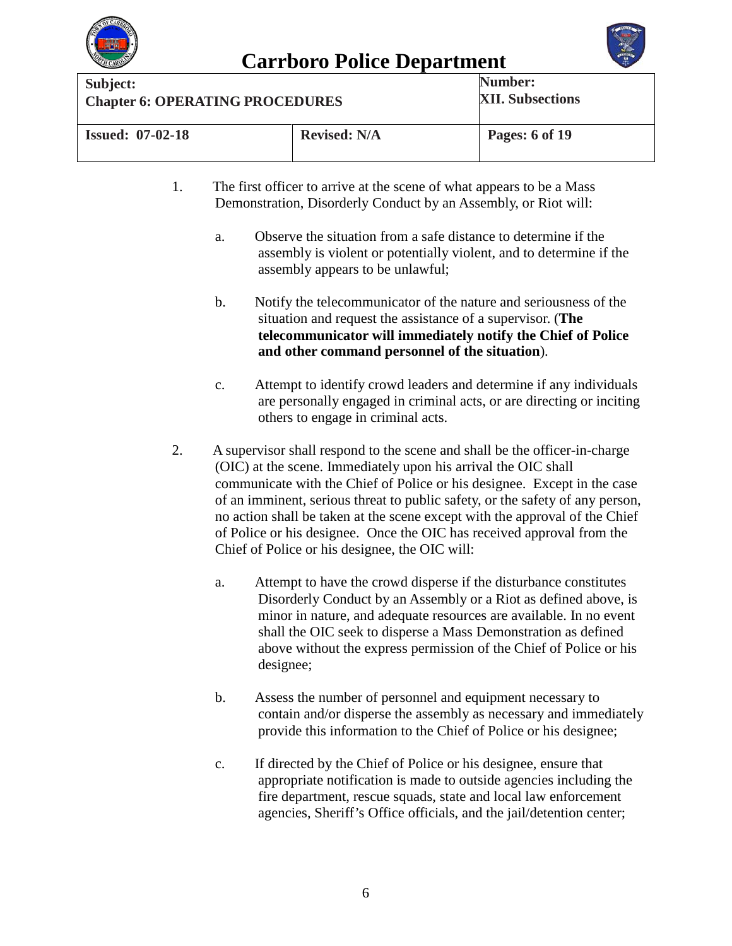



| Subject:                               |                     | Number:                 |
|----------------------------------------|---------------------|-------------------------|
| <b>Chapter 6: OPERATING PROCEDURES</b> |                     | <b>XII. Subsections</b> |
| <b>Issued: 07-02-18</b>                | <b>Revised: N/A</b> | Pages: 6 of 19          |

- 1. The first officer to arrive at the scene of what appears to be a Mass Demonstration, Disorderly Conduct by an Assembly, or Riot will:
	- a. Observe the situation from a safe distance to determine if the assembly is violent or potentially violent, and to determine if the assembly appears to be unlawful;
	- b. Notify the telecommunicator of the nature and seriousness of the situation and request the assistance of a supervisor. (**The telecommunicator will immediately notify the Chief of Police and other command personnel of the situation**).
	- c. Attempt to identify crowd leaders and determine if any individuals are personally engaged in criminal acts, or are directing or inciting others to engage in criminal acts.
- 2. A supervisor shall respond to the scene and shall be the officer-in-charge (OIC) at the scene. Immediately upon his arrival the OIC shall communicate with the Chief of Police or his designee. Except in the case of an imminent, serious threat to public safety, or the safety of any person, no action shall be taken at the scene except with the approval of the Chief of Police or his designee. Once the OIC has received approval from the Chief of Police or his designee, the OIC will:
	- a. Attempt to have the crowd disperse if the disturbance constitutes Disorderly Conduct by an Assembly or a Riot as defined above, is minor in nature, and adequate resources are available. In no event shall the OIC seek to disperse a Mass Demonstration as defined above without the express permission of the Chief of Police or his designee;
	- b. Assess the number of personnel and equipment necessary to contain and/or disperse the assembly as necessary and immediately provide this information to the Chief of Police or his designee;
	- c. If directed by the Chief of Police or his designee, ensure that appropriate notification is made to outside agencies including the fire department, rescue squads, state and local law enforcement agencies, Sheriff's Office officials, and the jail/detention center;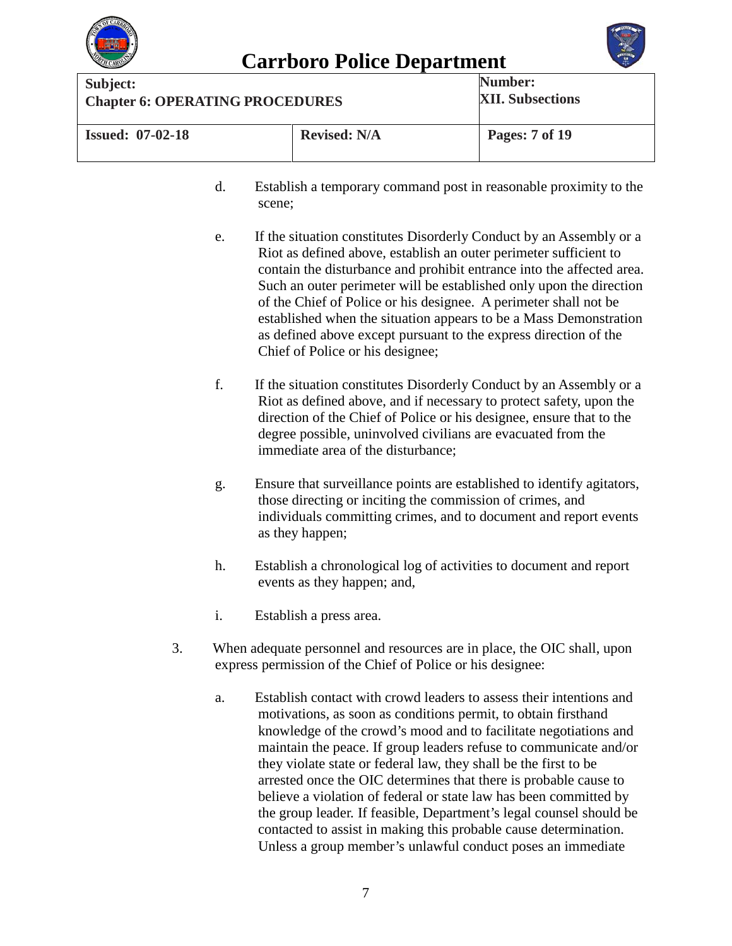



| Subject:                               |                     | Number:                 |
|----------------------------------------|---------------------|-------------------------|
| <b>Chapter 6: OPERATING PROCEDURES</b> |                     | <b>XII. Subsections</b> |
| <b>Issued: 07-02-18</b>                | <b>Revised: N/A</b> | Pages: 7 of 19          |

- d. Establish a temporary command post in reasonable proximity to the scene;
- e. If the situation constitutes Disorderly Conduct by an Assembly or a Riot as defined above, establish an outer perimeter sufficient to contain the disturbance and prohibit entrance into the affected area. Such an outer perimeter will be established only upon the direction of the Chief of Police or his designee. A perimeter shall not be established when the situation appears to be a Mass Demonstration as defined above except pursuant to the express direction of the Chief of Police or his designee;
- f. If the situation constitutes Disorderly Conduct by an Assembly or a Riot as defined above, and if necessary to protect safety, upon the direction of the Chief of Police or his designee, ensure that to the degree possible, uninvolved civilians are evacuated from the immediate area of the disturbance;
- g. Ensure that surveillance points are established to identify agitators, those directing or inciting the commission of crimes, and individuals committing crimes, and to document and report events as they happen;
- h. Establish a chronological log of activities to document and report events as they happen; and,
- i. Establish a press area.
- 3. When adequate personnel and resources are in place, the OIC shall, upon express permission of the Chief of Police or his designee:
	- a. Establish contact with crowd leaders to assess their intentions and motivations, as soon as conditions permit, to obtain firsthand knowledge of the crowd's mood and to facilitate negotiations and maintain the peace. If group leaders refuse to communicate and/or they violate state or federal law, they shall be the first to be arrested once the OIC determines that there is probable cause to believe a violation of federal or state law has been committed by the group leader. If feasible, Department's legal counsel should be contacted to assist in making this probable cause determination. Unless a group member's unlawful conduct poses an immediate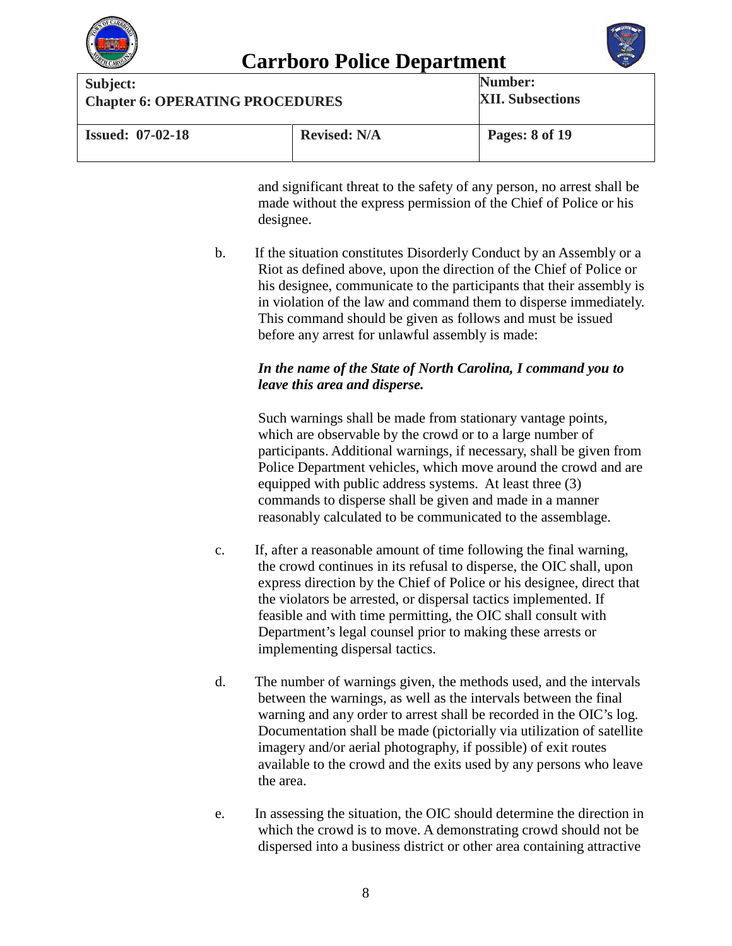



| Subject:                                       |  | Number:                 |
|------------------------------------------------|--|-------------------------|
| <b>Chapter 6: OPERATING PROCEDURES</b>         |  | <b>XII. Subsections</b> |
| <b>Revised: N/A</b><br><b>Issued: 07-02-18</b> |  | Pages: 8 of 19          |

and significant threat to the safety of any person, no arrest shall be made without the express permission of the Chief of Police or his designee.

b. If the situation constitutes Disorderly Conduct by an Assembly or a Riot as defined above, upon the direction of the Chief of Police or his designee, communicate to the participants that their assembly is in violation of the law and command them to disperse immediately. This command should be given as follows and must be issued before any arrest for unlawful assembly is made:

### *In the name of the State of North Carolina, I command you to leave this area and disperse.*

Such warnings shall be made from stationary vantage points, which are observable by the crowd or to a large number of participants. Additional warnings, if necessary, shall be given from Police Department vehicles, which move around the crowd and are equipped with public address systems. At least three (3) commands to disperse shall be given and made in a manner reasonably calculated to be communicated to the assemblage.

- c. If, after a reasonable amount of time following the final warning, the crowd continues in its refusal to disperse, the OIC shall, upon express direction by the Chief of Police or his designee, direct that the violators be arrested, or dispersal tactics implemented. If feasible and with time permitting, the OIC shall consult with Department's legal counsel prior to making these arrests or implementing dispersal tactics.
- d. The number of warnings given, the methods used, and the intervals between the warnings, as well as the intervals between the final warning and any order to arrest shall be recorded in the OIC's log. Documentation shall be made (pictorially via utilization of satellite imagery and/or aerial photography, if possible) of exit routes available to the crowd and the exits used by any persons who leave the area.
- e. In assessing the situation, the OIC should determine the direction in which the crowd is to move. A demonstrating crowd should not be dispersed into a business district or other area containing attractive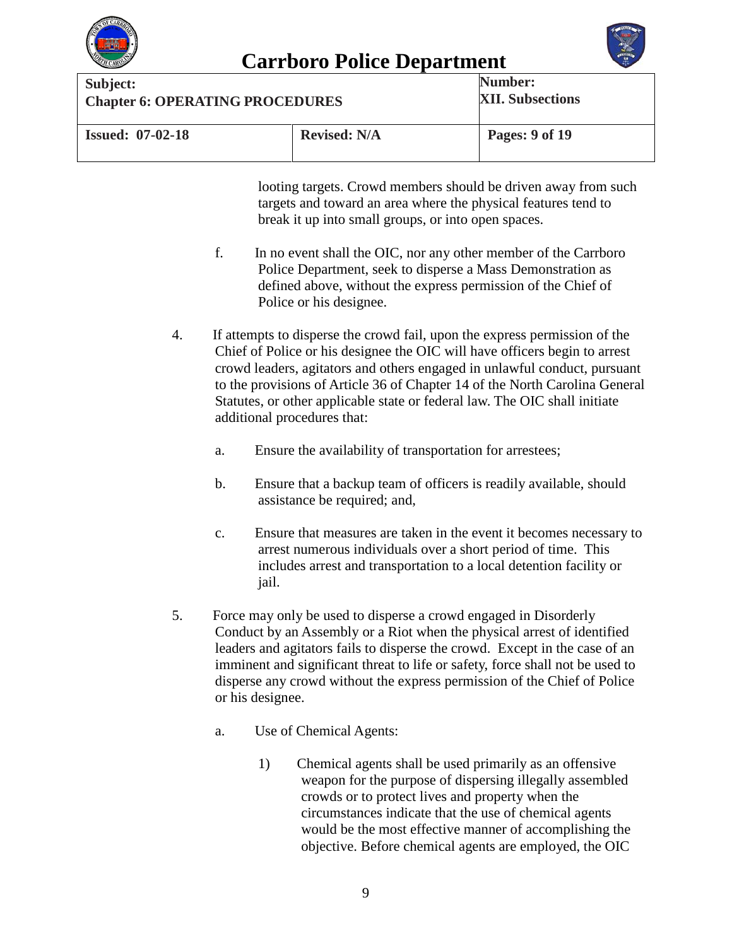



**Carrboro Police Department**<br>
Subject: **Num Chapter 6: OPERATING PROCEDURES Number: XII. Subsections Issued: 07-02-18 Revised: N/A Pages: 9 of 19**

> looting targets. Crowd members should be driven away from such targets and toward an area where the physical features tend to break it up into small groups, or into open spaces.

- f. In no event shall the OIC, nor any other member of the Carrboro Police Department, seek to disperse a Mass Demonstration as defined above, without the express permission of the Chief of Police or his designee.
- 4. If attempts to disperse the crowd fail, upon the express permission of the Chief of Police or his designee the OIC will have officers begin to arrest crowd leaders, agitators and others engaged in unlawful conduct, pursuant to the provisions of Article 36 of Chapter 14 of the North Carolina General Statutes, or other applicable state or federal law. The OIC shall initiate additional procedures that:
	- a. Ensure the availability of transportation for arrestees;
	- b. Ensure that a backup team of officers is readily available, should assistance be required; and,
	- c. Ensure that measures are taken in the event it becomes necessary to arrest numerous individuals over a short period of time. This includes arrest and transportation to a local detention facility or jail.
- 5. Force may only be used to disperse a crowd engaged in Disorderly Conduct by an Assembly or a Riot when the physical arrest of identified leaders and agitators fails to disperse the crowd. Except in the case of an imminent and significant threat to life or safety, force shall not be used to disperse any crowd without the express permission of the Chief of Police or his designee.
	- a. Use of Chemical Agents:
		- 1) Chemical agents shall be used primarily as an offensive weapon for the purpose of dispersing illegally assembled crowds or to protect lives and property when the circumstances indicate that the use of chemical agents would be the most effective manner of accomplishing the objective. Before chemical agents are employed, the OIC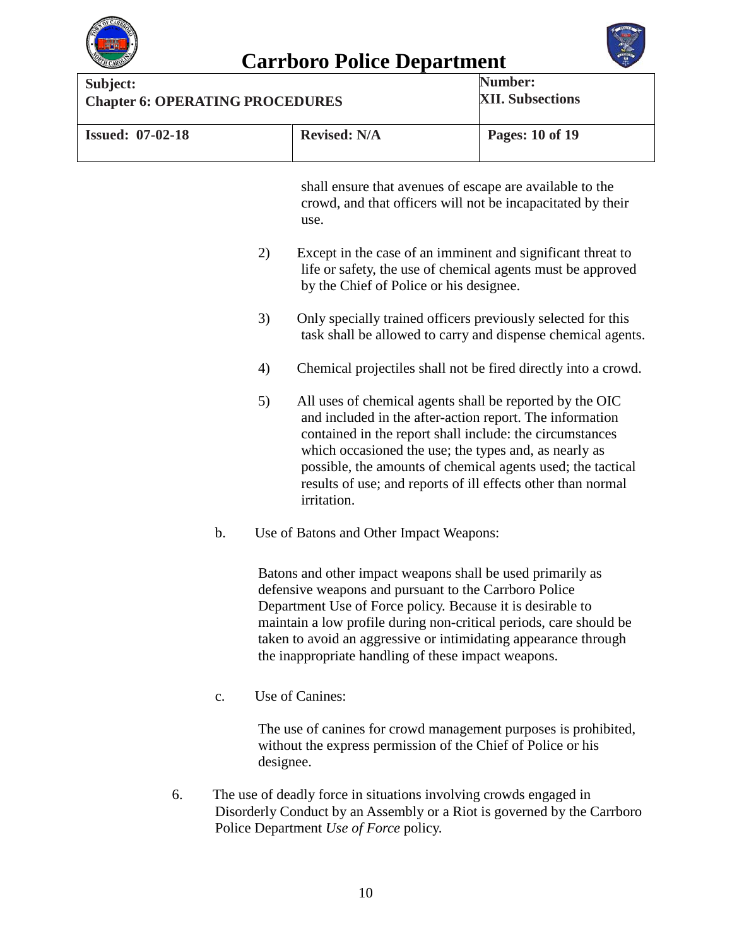



| Subject:<br><b>Chapter 6: OPERATING PROCEDURES</b> |           |                                                                                                                                                                                                                                                                                                                                                                                         | Number:<br><b>XII. Subsections</b> |
|----------------------------------------------------|-----------|-----------------------------------------------------------------------------------------------------------------------------------------------------------------------------------------------------------------------------------------------------------------------------------------------------------------------------------------------------------------------------------------|------------------------------------|
| <b>Issued: 07-02-18</b>                            |           | <b>Revised: N/A</b>                                                                                                                                                                                                                                                                                                                                                                     | Pages: 10 of 19                    |
|                                                    |           | shall ensure that avenues of escape are available to the<br>crowd, and that officers will not be incapacitated by their<br>use.                                                                                                                                                                                                                                                         |                                    |
|                                                    | 2)        | Except in the case of an imminent and significant threat to<br>life or safety, the use of chemical agents must be approved<br>by the Chief of Police or his designee.                                                                                                                                                                                                                   |                                    |
|                                                    | 3)        | Only specially trained officers previously selected for this<br>task shall be allowed to carry and dispense chemical agents.                                                                                                                                                                                                                                                            |                                    |
|                                                    | 4)        | Chemical projectiles shall not be fired directly into a crowd.                                                                                                                                                                                                                                                                                                                          |                                    |
|                                                    | 5)        | All uses of chemical agents shall be reported by the OIC<br>and included in the after-action report. The information<br>contained in the report shall include: the circumstances<br>which occasioned the use; the types and, as nearly as<br>possible, the amounts of chemical agents used; the tactical<br>results of use; and reports of ill effects other than normal<br>irritation. |                                    |
| b.                                                 |           | Use of Batons and Other Impact Weapons:                                                                                                                                                                                                                                                                                                                                                 |                                    |
|                                                    |           | Batons and other impact weapons shall be used primarily as<br>defensive weapons and pursuant to the Carrboro Police<br>Department Use of Force policy. Because it is desirable to<br>maintain a low profile during non-critical periods, care should be<br>taken to avoid an aggressive or intimidating appearance through<br>the inappropriate handling of these impact weapons.       |                                    |
| c.                                                 |           | Use of Canines:                                                                                                                                                                                                                                                                                                                                                                         |                                    |
|                                                    | designee. | The use of canines for crowd management purposes is prohibited,<br>without the express permission of the Chief of Police or his                                                                                                                                                                                                                                                         |                                    |

6. The use of deadly force in situations involving crowds engaged in Disorderly Conduct by an Assembly or a Riot is governed by the Carrboro Police Department *Use of Force* policy.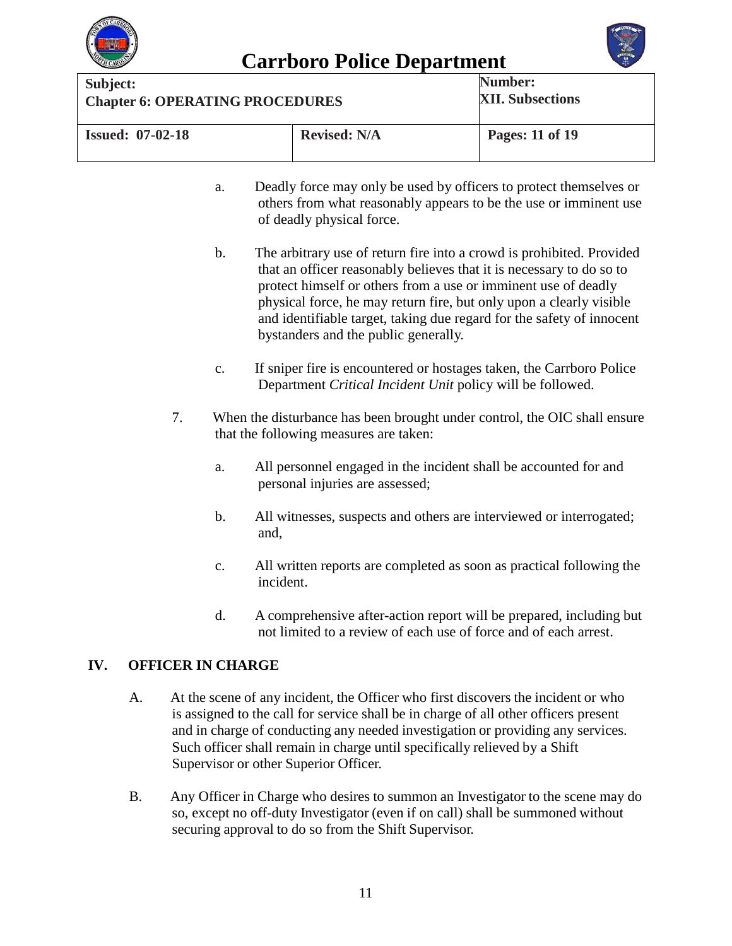



| Subject:                                       |  | Number:                 |
|------------------------------------------------|--|-------------------------|
| <b>Chapter 6: OPERATING PROCEDURES</b>         |  | <b>XII. Subsections</b> |
| <b>Revised: N/A</b><br><b>Issued: 07-02-18</b> |  | Pages: 11 of 19         |

- a. Deadly force may only be used by officers to protect themselves or others from what reasonably appears to be the use or imminent use of deadly physical force.
- b. The arbitrary use of return fire into a crowd is prohibited. Provided that an officer reasonably believes that it is necessary to do so to protect himself or others from a use or imminent use of deadly physical force, he may return fire, but only upon a clearly visible and identifiable target, taking due regard for the safety of innocent bystanders and the public generally.
- c. If sniper fire is encountered or hostages taken, the Carrboro Police Department *Critical Incident Unit* policy will be followed.
- 7. When the disturbance has been brought under control, the OIC shall ensure that the following measures are taken:
	- a. All personnel engaged in the incident shall be accounted for and personal injuries are assessed;
	- b. All witnesses, suspects and others are interviewed or interrogated; and,
	- c. All written reports are completed as soon as practical following the incident.
	- d. A comprehensive after-action report will be prepared, including but not limited to a review of each use of force and of each arrest.

### **IV. OFFICER IN CHARGE**

- A. At the scene of any incident, the Officer who first discovers the incident or who is assigned to the call for service shall be in charge of all other officers present and in charge of conducting any needed investigation or providing any services. Such officer shall remain in charge until specifically relieved by a Shift Supervisor or other Superior Officer.
- B. Any Officer in Charge who desires to summon an Investigator to the scene may do so, except no off-duty Investigator (even if on call) shall be summoned without securing approval to do so from the Shift Supervisor.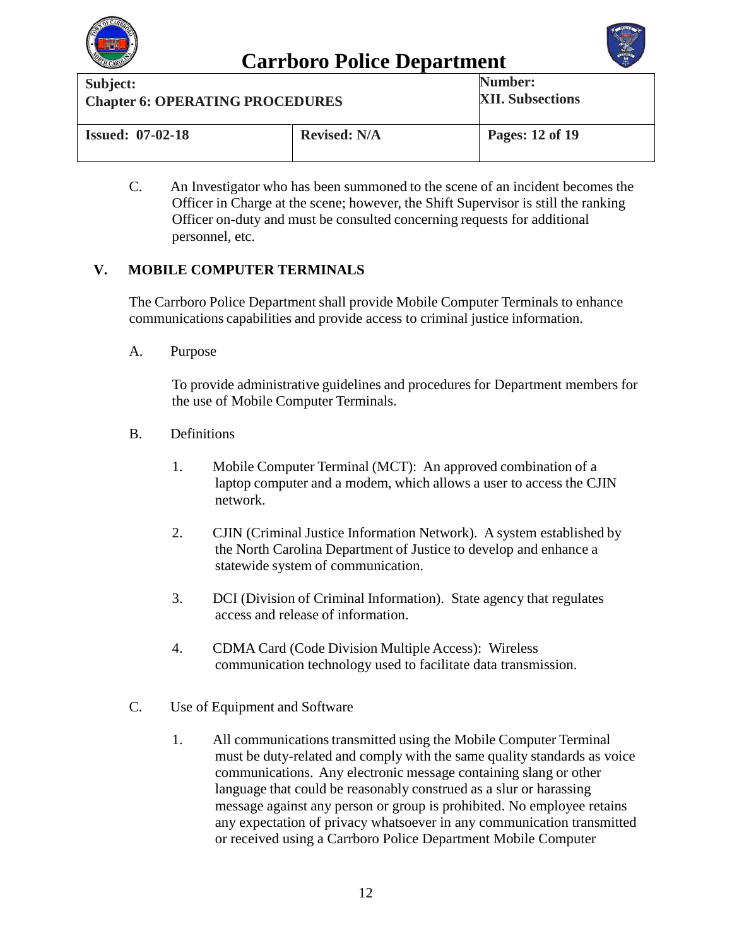



| Subject:                               |                     | Number:                 |
|----------------------------------------|---------------------|-------------------------|
| <b>Chapter 6: OPERATING PROCEDURES</b> |                     | <b>XII. Subsections</b> |
| <b>Issued: 07-02-18</b>                | <b>Revised: N/A</b> | Pages: 12 of 19         |

C. An Investigator who has been summoned to the scene of an incident becomes the Officer in Charge at the scene; however, the Shift Supervisor is still the ranking Officer on-duty and must be consulted concerning requests for additional personnel, etc.

### **V. MOBILE COMPUTER TERMINALS**

The Carrboro Police Department shall provide Mobile Computer Terminals to enhance communications capabilities and provide access to criminal justice information.

A. Purpose

To provide administrative guidelines and procedures for Department members for the use of Mobile Computer Terminals.

- B. Definitions
	- 1. Mobile Computer Terminal (MCT): An approved combination of a laptop computer and a modem, which allows a user to access the CJIN network.
	- 2. CJIN (Criminal Justice Information Network). A system established by the North Carolina Department of Justice to develop and enhance a statewide system of communication.
	- 3. DCI (Division of Criminal Information). State agency that regulates access and release of information.
	- 4. CDMA Card (Code Division Multiple Access): Wireless communication technology used to facilitate data transmission.
- C. Use of Equipment and Software
	- 1. All communicationstransmitted using the Mobile Computer Terminal must be duty-related and comply with the same quality standards as voice communications. Any electronic message containing slang or other language that could be reasonably construed as a slur or harassing message against any person or group is prohibited. No employee retains any expectation of privacy whatsoever in any communication transmitted or received using a Carrboro Police Department Mobile Computer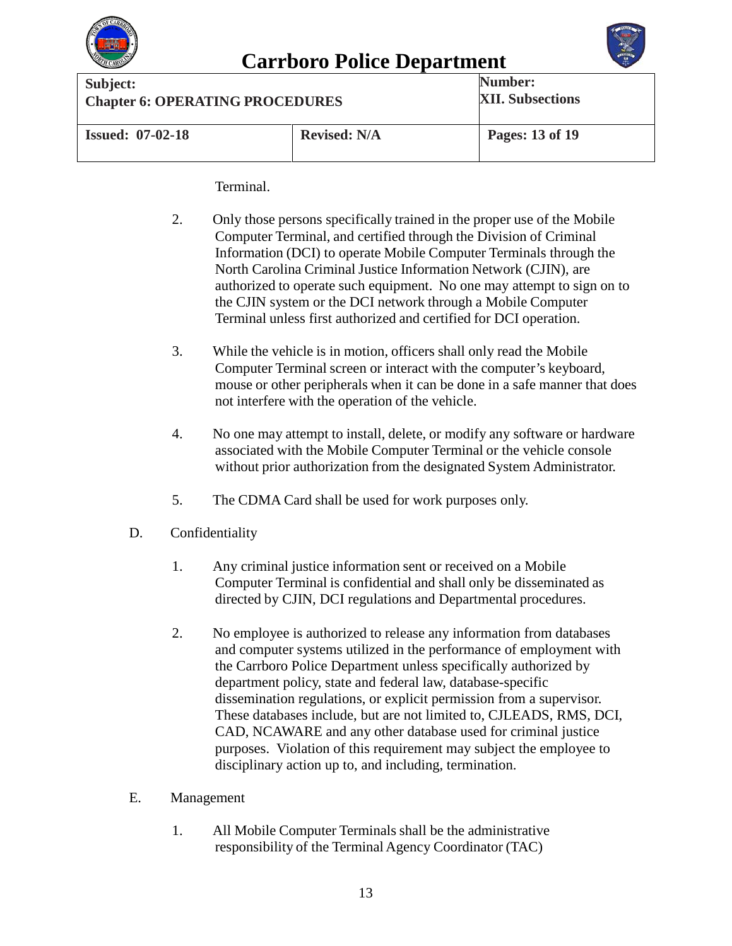



| Subject:                               |                     | Number:                 |
|----------------------------------------|---------------------|-------------------------|
| <b>Chapter 6: OPERATING PROCEDURES</b> |                     | <b>XII. Subsections</b> |
| <b>Issued: 07-02-18</b>                | <b>Revised: N/A</b> | Pages: 13 of 19         |

Terminal.

- 2. Only those persons specifically trained in the proper use of the Mobile Computer Terminal, and certified through the Division of Criminal Information (DCI) to operate Mobile Computer Terminals through the North Carolina Criminal Justice Information Network (CJIN), are authorized to operate such equipment. No one may attempt to sign on to the CJIN system or the DCI network through a Mobile Computer Terminal unless first authorized and certified for DCI operation.
- 3. While the vehicle is in motion, officers shall only read the Mobile Computer Terminal screen or interact with the computer's keyboard, mouse or other peripherals when it can be done in a safe manner that does not interfere with the operation of the vehicle.
- 4. No one may attempt to install, delete, or modify any software or hardware associated with the Mobile Computer Terminal or the vehicle console without prior authorization from the designated System Administrator.
- 5. The CDMA Card shall be used for work purposes only.
- D. Confidentiality
	- 1. Any criminal justice information sent or received on a Mobile Computer Terminal is confidential and shall only be disseminated as directed by CJIN, DCI regulations and Departmental procedures.
	- 2. No employee is authorized to release any information from databases and computer systems utilized in the performance of employment with the Carrboro Police Department unless specifically authorized by department policy, state and federal law, database-specific dissemination regulations, or explicit permission from a supervisor. These databases include, but are not limited to, CJLEADS, RMS, DCI, CAD, NCAWARE and any other database used for criminal justice purposes. Violation of this requirement may subject the employee to disciplinary action up to, and including, termination.
- E. Management
	- 1. All Mobile Computer Terminals shall be the administrative responsibility of the Terminal Agency Coordinator (TAC)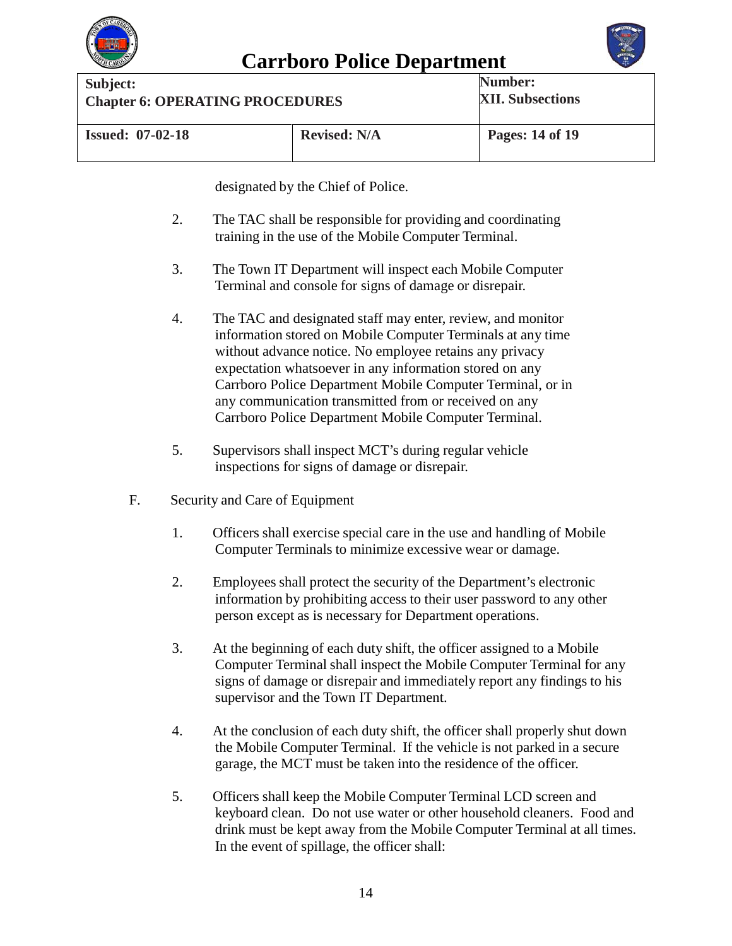



**Carrboro Police Department**<br>
Subject: **Num Chapter 6: OPERATING PROCEDURES Number: XII. Subsections Issued: 07-02-18 Revised: N/A Pages: 14 of 19**

designated by the Chief of Police.

- 2. The TAC shall be responsible for providing and coordinating training in the use of the Mobile Computer Terminal.
- 3. The Town IT Department will inspect each Mobile Computer Terminal and console for signs of damage or disrepair.
- 4. The TAC and designated staff may enter, review, and monitor information stored on Mobile Computer Terminals at any time without advance notice. No employee retains any privacy expectation whatsoever in any information stored on any Carrboro Police Department Mobile Computer Terminal, or in any communication transmitted from or received on any Carrboro Police Department Mobile Computer Terminal.
- 5. Supervisors shall inspect MCT's during regular vehicle inspections for signs of damage or disrepair.
- F. Security and Care of Equipment
	- 1. Officers shall exercise special care in the use and handling of Mobile Computer Terminals to minimize excessive wear or damage.
	- 2. Employees shall protect the security of the Department's electronic information by prohibiting access to their user password to any other person except as is necessary for Department operations.
	- 3. At the beginning of each duty shift, the officer assigned to a Mobile Computer Terminal shall inspect the Mobile Computer Terminal for any signs of damage or disrepair and immediately report any findings to his supervisor and the Town IT Department.
	- 4. At the conclusion of each duty shift, the officer shall properly shut down the Mobile Computer Terminal. If the vehicle is not parked in a secure garage, the MCT must be taken into the residence of the officer.
	- 5. Officers shall keep the Mobile Computer Terminal LCD screen and keyboard clean. Do not use water or other household cleaners. Food and drink must be kept away from the Mobile Computer Terminal at all times. In the event of spillage, the officer shall: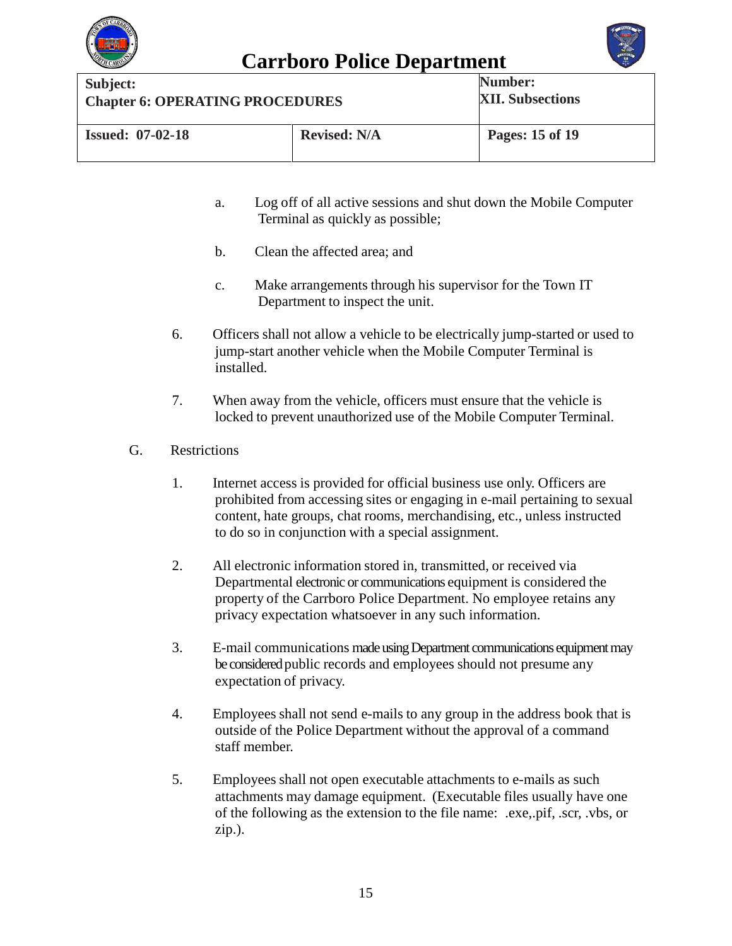



**Carrboro Police Department**<br>
Subject: **Num Chapter 6: OPERATING PROCEDURES Number: XII. Subsections Issued: 07-02-18 Revised: N/A Pages: 15 of 19**

- a. Log off of all active sessions and shut down the Mobile Computer Terminal as quickly as possible;
- b. Clean the affected area; and
- c. Make arrangements through his supervisor for the Town IT Department to inspect the unit.
- 6. Officers shall not allow a vehicle to be electrically jump-started or used to jump-start another vehicle when the Mobile Computer Terminal is installed.
- 7. When away from the vehicle, officers must ensure that the vehicle is locked to prevent unauthorized use of the Mobile Computer Terminal.

### G. Restrictions

- 1. Internet access is provided for official business use only. Officers are prohibited from accessing sites or engaging in e-mail pertaining to sexual content, hate groups, chat rooms, merchandising, etc., unless instructed to do so in conjunction with a special assignment.
- 2. All electronic information stored in, transmitted, or received via Departmental electronic or communications equipment is considered the property of the Carrboro Police Department. No employee retains any privacy expectation whatsoever in any such information.
- 3. E-mail communications made using Department communications equipment may be considered public records and employees should not presume any expectation of privacy.
- 4. Employees shall not send e-mails to any group in the address book that is outside of the Police Department without the approval of a command staff member.
- 5. Employees shall not open executable attachments to e-mails as such attachments may damage equipment. (Executable files usually have one of the following as the extension to the file name: .exe,.pif, .scr, .vbs, or zip.).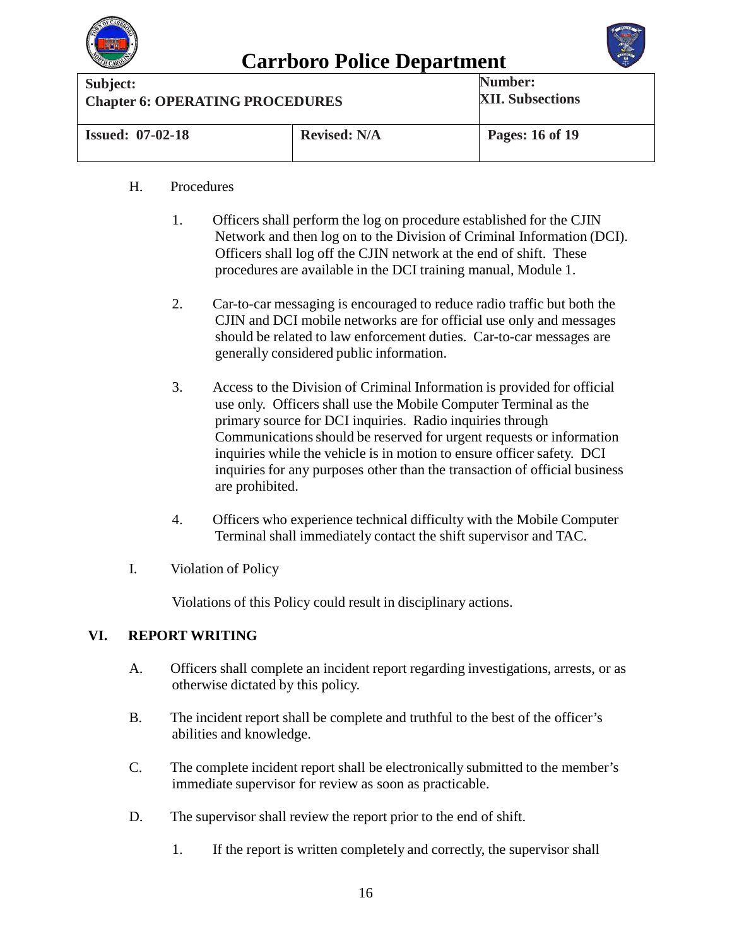



| Subject:                               |                     | <b>Number:</b>          |
|----------------------------------------|---------------------|-------------------------|
| <b>Chapter 6: OPERATING PROCEDURES</b> |                     | <b>XII. Subsections</b> |
| <b>Issued: 07-02-18</b>                | <b>Revised: N/A</b> | Pages: 16 of 19         |

### H. Procedures

- 1. Officers shall perform the log on procedure established for the CJIN Network and then log on to the Division of Criminal Information (DCI). Officers shall log off the CJIN network at the end of shift. These procedures are available in the DCI training manual, Module 1.
- 2. Car-to-car messaging is encouraged to reduce radio traffic but both the CJIN and DCI mobile networks are for official use only and messages should be related to law enforcement duties. Car-to-car messages are generally considered public information.
- 3. Access to the Division of Criminal Information is provided for official use only. Officers shall use the Mobile Computer Terminal as the primary source for DCI inquiries. Radio inquiries through Communications should be reserved for urgent requests or information inquiries while the vehicle is in motion to ensure officer safety. DCI inquiries for any purposes other than the transaction of official business are prohibited.
- 4. Officers who experience technical difficulty with the Mobile Computer Terminal shall immediately contact the shift supervisor and TAC.
- I. Violation of Policy

Violations of this Policy could result in disciplinary actions.

### **VI. REPORT WRITING**

- A. Officers shall complete an incident report regarding investigations, arrests, or as otherwise dictated by this policy.
- B. The incident report shall be complete and truthful to the best of the officer's abilities and knowledge.
- C. The complete incident report shall be electronically submitted to the member's immediate supervisor for review as soon as practicable.
- D. The supervisor shall review the report prior to the end of shift.
	- 1. If the report is written completely and correctly, the supervisor shall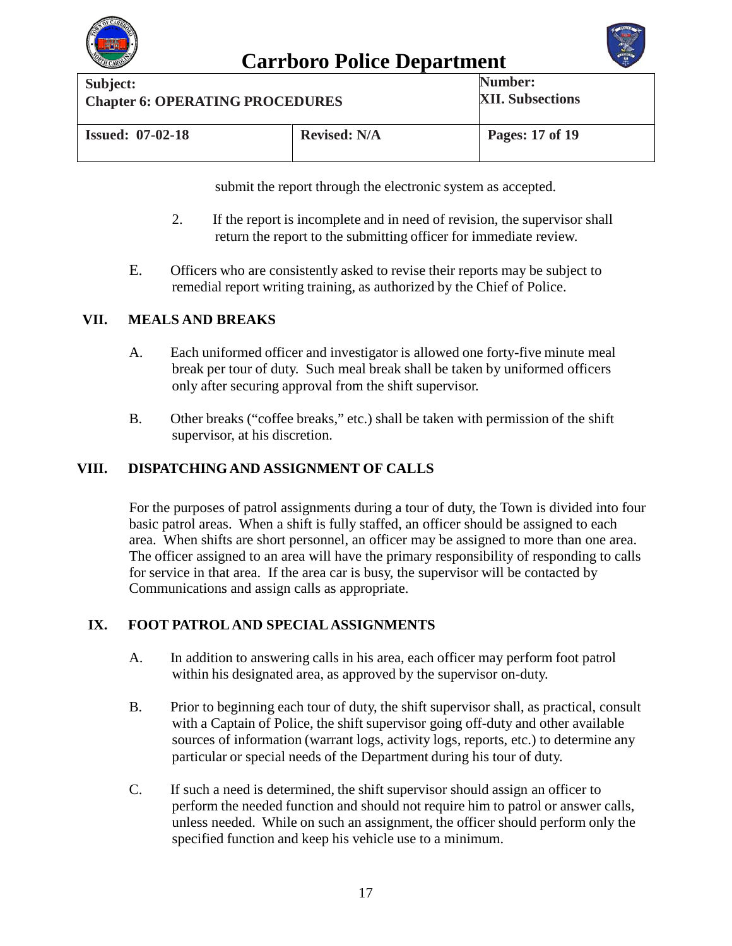



**Carrboro Police Department**<br>
Subject: **Num Chapter 6: OPERATING PROCEDURES Number: XII. Subsections Issued: 07-02-18 Revised: N/A Pages: 17 of 19**

submit the report through the electronic system as accepted.

- 2. If the report is incomplete and in need of revision, the supervisor shall return the report to the submitting officer for immediate review.
- E. Officers who are consistently asked to revise their reports may be subject to remedial report writing training, as authorized by the Chief of Police.

### **VII. MEALS AND BREAKS**

- A. Each uniformed officer and investigator is allowed one forty-five minute meal break per tour of duty. Such meal break shall be taken by uniformed officers only after securing approval from the shift supervisor.
- B. Other breaks ("coffee breaks," etc.) shall be taken with permission of the shift supervisor, at his discretion.

### **VIII. DISPATCHING AND ASSIGNMENT OF CALLS**

For the purposes of patrol assignments during a tour of duty, the Town is divided into four basic patrol areas. When a shift is fully staffed, an officer should be assigned to each area. When shifts are short personnel, an officer may be assigned to more than one area. The officer assigned to an area will have the primary responsibility of responding to calls for service in that area. If the area car is busy, the supervisor will be contacted by Communications and assign calls as appropriate.

### **IX. FOOT PATROL AND SPECIAL ASSIGNMENTS**

- A. In addition to answering calls in his area, each officer may perform foot patrol within his designated area, as approved by the supervisor on-duty.
- B. Prior to beginning each tour of duty, the shift supervisor shall, as practical, consult with a Captain of Police, the shift supervisor going off-duty and other available sources of information (warrant logs, activity logs, reports, etc.) to determine any particular or special needs of the Department during his tour of duty.
- C. If such a need is determined, the shift supervisor should assign an officer to perform the needed function and should not require him to patrol or answer calls, unless needed. While on such an assignment, the officer should perform only the specified function and keep his vehicle use to a minimum.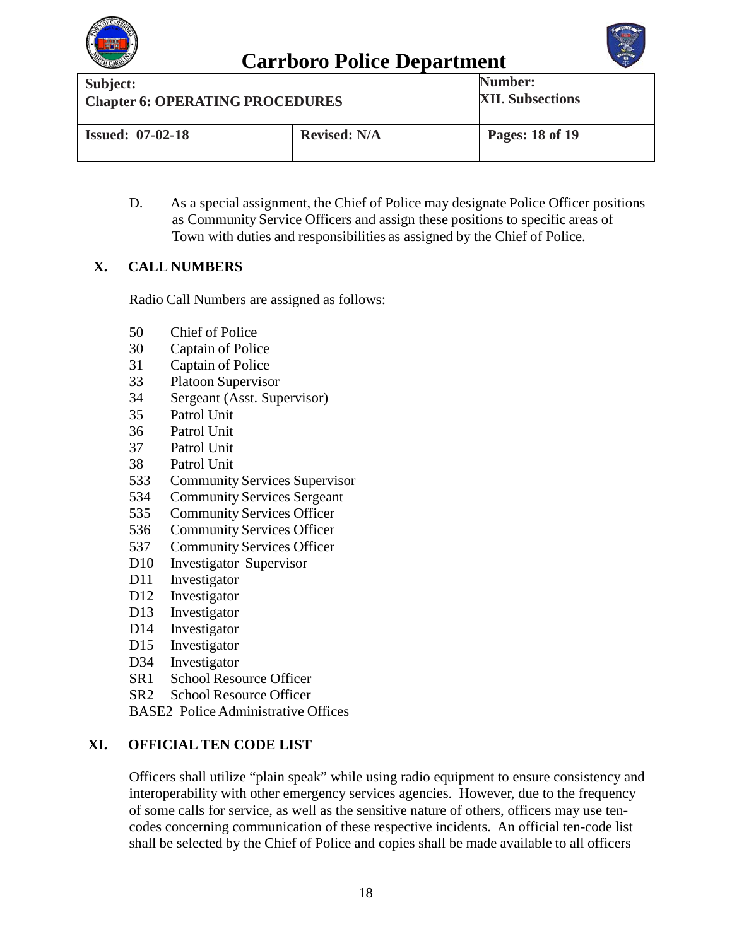



| Subject:                               |                     | <b>Number:</b>          |
|----------------------------------------|---------------------|-------------------------|
| <b>Chapter 6: OPERATING PROCEDURES</b> |                     | <b>XII. Subsections</b> |
| <b>Issued: 07-02-18</b>                | <b>Revised: N/A</b> | Pages: 18 of 19         |

D. As a special assignment, the Chief of Police may designate Police Officer positions as Community Service Officers and assign these positions to specific areas of Town with duties and responsibilities as assigned by the Chief of Police.

### **X. CALL NUMBERS**

Radio Call Numbers are assigned as follows:

- 50 Chief of Police
- 30 Captain of Police
- 31 Captain of Police
- 33 Platoon Supervisor
- 34 Sergeant (Asst. Supervisor)
- 35 Patrol Unit
- 36 Patrol Unit
- Patrol Unit
- 38 Patrol Unit
- 533 Community Services Supervisor
- 534 Community Services Sergeant
- 535 Community Services Officer
- 536 Community Services Officer
- 537 Community Services Officer
- D10 Investigator Supervisor
- D11 Investigator
- D12 Investigator
- D13 Investigator
- D<sub>14</sub> Investigator
- D15 Investigator
- D34 Investigator
- SR1 School Resource Officer
- SR2 School Resource Officer
- BASE2 Police Administrative Offices

### **XI. OFFICIAL TEN CODE LIST**

Officers shall utilize "plain speak" while using radio equipment to ensure consistency and interoperability with other emergency services agencies. However, due to the frequency of some calls for service, as well as the sensitive nature of others, officers may use tencodes concerning communication of these respective incidents. An official ten-code list shall be selected by the Chief of Police and copies shall be made available to all officers